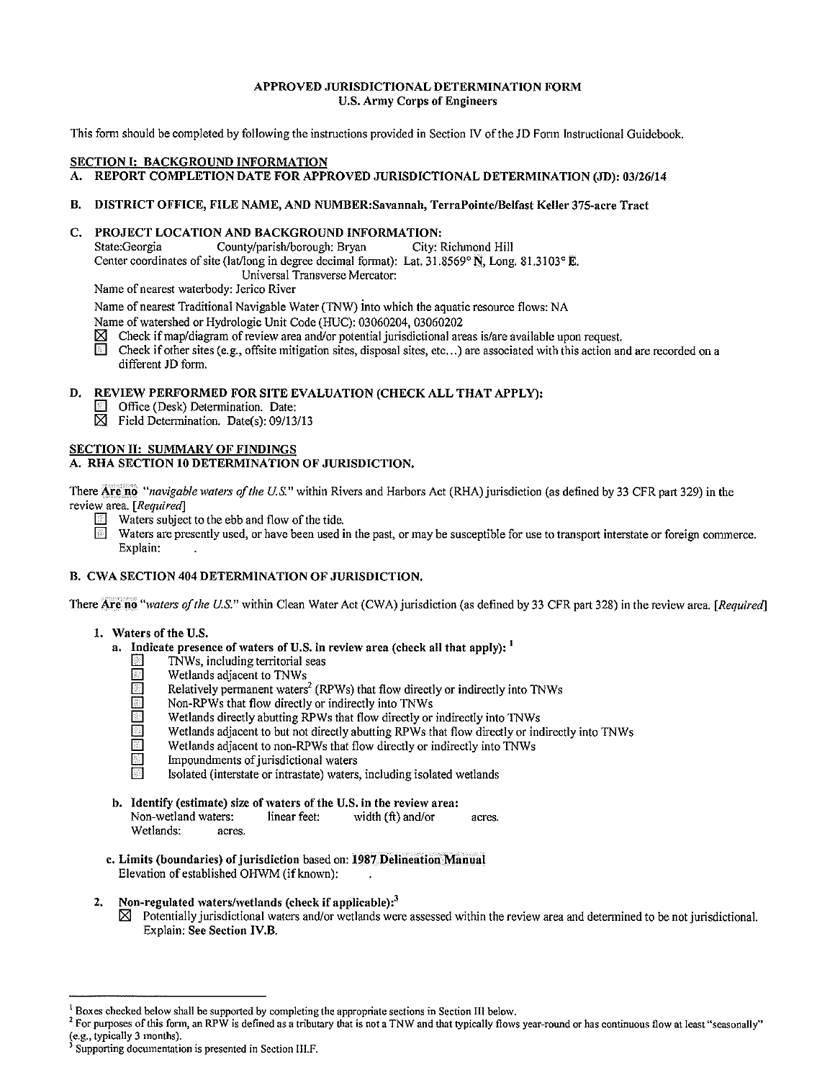#### APPROVED JURISDICTIONAL DETERMINATION FORM U.S. Army Corps of Engineers

This form should be completed by following the instructions provided in Section N of the JD Fonn Instructional Guidebook.

## SECTION I: BACKGROUND INFORMATION

## A. REPORT COMPLETION DATE FOR APPROVED JURISDICTIONAL DETERMINATION (JD): 03/26/14

## B. DISTRICT OFFICE, FILE NAME, AND NUMBER: Savannah, TerraPointe/Belfast Keller 375-acre Tract

# C. PROJECT LOCATION AND BACKGROUND INFORMATION:<br>State:Georgia County/parish/borough: Bryan City: Richmond Hill

County/parish/borough: Bryan Center coordinates of site (Iat/long in degree decimal format): Lat. 31.8569° N, Long. 81.3103° E. Universal Transverse Mercator:

Name of nearest waterbody: Jerico River

Name of nearest Traditional Navigable Water (TNW) into which the aquatic resource flows: NA

Name of watershed or Hydrologic Unit Code (HUC): 03060204, 03060202

- $[\mathbb{S}]$  Check if map/diagram of review area and/or potential jurisdictional areas is/are available upon request.<br>In Check if other sites (e.g., offsite mitigation sites, disposal sites, etc.,,) are associated with this a
- Check if other sites (e.g., offsite mitigation sites, disposal sites, etc...) are associated with this action and are recorded on a different JD form.

## D. REVIEW PERFORMED FOR SITE EVALUATION (CHECK ALL THAT APPLY):

- **DEN** Office (Desk) Determination. Date:
- $\overline{\boxtimes}$  Field Determination. Date(s): 09/13/13

#### SECTION II: SUMMARY OF FINDINGS A. RHA SECTION 10 DETERMINATION OF JURISDICTION.

## There Are no *"navigable waters of the U.S."* within Rivers and Harbors Act (RHA) jurisdiction (as defined by 33 CFR part 329) in the

review area. *[Required]* 

- Waters subject to the ebb and flow of the tide.<br>
Waters are presently used, or have been used i
	- Waters are presently used, or have been used in the past, or may be susceptible for use to transport interstate or foreign commerce. Explain:

## B. CWA SECTION 404 DETERMINATION OF JURISDICTION.

There Are no *"waters ofthe U.S."* within Clean Water Act (CWA) jurisdiction (as defined by 33 CFR part 328) in the review area. *[Required]* 

## I. Waters of the U.S.

- a. Indicate presence of waters of U.S. in review area (check all that apply):  $\frac{1}{2}$  TNWs, including territorial seas
	- TNWs, including territorial seas<br>
	U Wetlands adiacent to TNWs
	- **D** Wetlands adjacent to TNWs<br>
	Relatively permanent waters
		- Relatively permanent waters<sup>2</sup> (RPWs) that flow directly or indirectly into TNWs
	- Non-RPWs that flow directly or indirectly into TNWs
	- Wetlands directly abutting RPWs that flow directly or indirectly into TNWs
	- Wetlands adjacent to but not directly abutting RPWs that flow directly or indirectly into TNWs
	- D Wetlands adjacent to non-RPWs that flow directly or indirectly into TNWs<br>Dependent of introductional waters
		- Impoundments of jurisdictional waters
		- Isolated (interstate or intrastate) waters, including isolated wetlands
- b. Identify (estimate) size of waters of the U.S. in the review area: Non-wetland waters: linear feet: width (ft) and/or acres. Wetlands: acres.
- c. Limits (boundaries) of jurisdiction based on: 1987 Delineation Manual Elevation of established OHWM (if known):
- 2. Non-regulated waters/wetlands (check if applicable): $3$  $\boxtimes$  Potentially jurisdictional waters and/or wetlands were assessed within the review area and determined to be not jurisdictional. Explain: See Section IV.B.

 $<sup>1</sup>$  Boxes checked below shall be supported by completing the appropriate sections in Section III below.</sup>

<sup>&</sup>lt;sup>2</sup> For purposes of this form, an RPW is defined as a tributary that is not a TNW and that typically flows year-round or has continuous flow at least "seasonally" (e.g., typically 3 months).

<sup>3</sup> Supporting documentation is presented in Section III.F.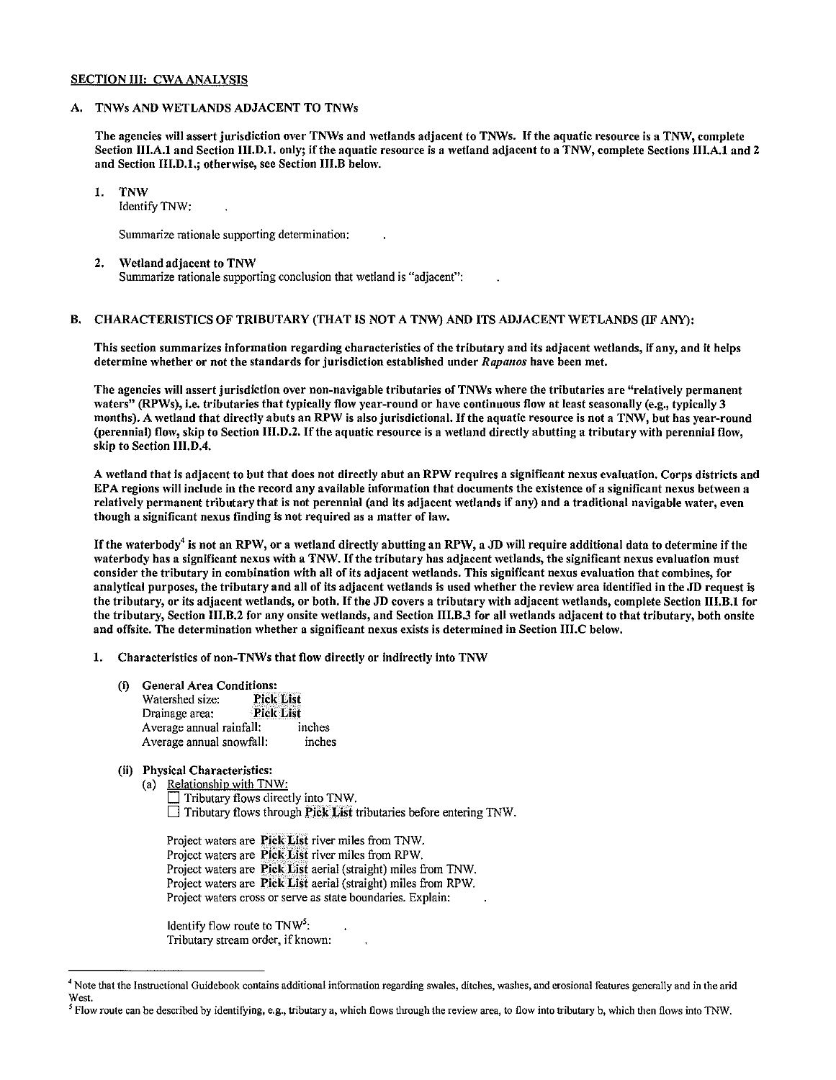#### SECTION III: CWAANALYSIS

#### A. TNWs AND WETLANDS ADJACENT TO TNWs

The agencies will assert jurisdiction over TNWs and wetlands adjacent to TNWs. If the aquatic resource is a TNW, complete Section III.A.l and Section III.D.l. only; if the aquatic resource is a wetland adjacent to a TNW, complete Sections III.A.l and 2 and Section III.D.l.; otherwise, see Section 111.8 below.

1. TNW

Identify TNW:

Summarize rationale supporting determination:

2. Wetland adjacent to TNW Summarize rationale supporting conclusion that wetland is "adjacent":

## B. CHARACTERISTICS OF TRIBUTARY (THAT IS NOT A TNW) AND ITS ADJACENT WETLANDS (IF ANY):

This section summarizes information regarding characteristics of the tributary and its adjacent wetlands, if any, and it helps determine whether or not the standards for jurisdiction established under *Rapanos* have been met.

The agencies will assert jurisdiction over non-navigable tributaries of TNWs where the tributaries are "relatively permanent waters" (RPWs), i.e. tributaries that typically flow year-round or have continuous flow at least seasonally (e.g., typically 3 months). A wetland that directly abuts an RPW is also jurisdictional. Ifthe aquatic resource is not a TNW, but has year-round (perennial) flow, skip to Section 111.0.2. Ifthe aquatic resource is a wetland directly abutting a tributary with perennial flow, skip to Section III.D.4.

A wetland that is adjacent to but that does not directly abut an RPW requires a significant nexus evaluation. Corps districts and EPA regions will include in the record any available information that documents the existence of a significant nexus between a relatively permanent tributary that is not perennial (and its adjacent wetlands if any) and a traditional navigable water, even though a significant nexus finding is not required as a matter of law.

If the waterbody<sup>4</sup> is not an RPW, or a wetland directly abutting an RPW, a JD will require additional data to determine if the waterbody has a significant nexus with a TNW. If the tributary has adjacent wetlands, the significant nexus evaluation must consider the tributary in combination with all of its adjacent wetlands. This significant nexus evaluation that combines, for analytical purposes, the tributary and all of its adjacent wetlands is used whether the review area identified in the JD request is the tributary, or its adjacent wetlands, or both. Ifthe JD covers a tributary with adjacent wetlands, complete Section III.B.l for the tributary, Section III.B.2 for any onsite wetlands, and Section III.B.3 for all wetlands adjacent to that tributary, both onsite and offsite. The determination whether a significant nexus exists is determined in Section III.C below.

1. Characteristics of non-TNWs that flow directly or indirectly into TNW

- (i) General Area Conditions:<br>Watershed size: Pick List Watershed size: Drainage area: Pick List<br>Average annual rainfall: inches Average annual rainfall: inches<br>Average annual snowfall: inches Average annual snowfall:
- (ii) Physical Characteristics:
	- (a) Relationship with TNW: Tributary flows directly into TNW.  $\Box$  Tributary flows through **Pick List** tributaries before entering TNW.

Project waters are **Pick List** river miles from TNW. Project waters are **Pick List** river miles from RPW. Project waters are Pick List aerial (straight) miles from TNW. Project waters are **Pick List** aerial (straight) miles from RPW. Project waters cross or serve as state boundaries. Explain:

Identify flow route to  $TNW<sup>5</sup>$ : Tributary stream order, if known:

<sup>&</sup>lt;sup>4</sup> Note that the Instructional Guidebook contains additional information regarding swales, ditches, washes, and erosional features generally and in the arid West.

*<sup>5</sup>*Flow route can be described by identifying, e.g., tributary a, which flows through the review area, to flow into tributary b, which then flows into TNW.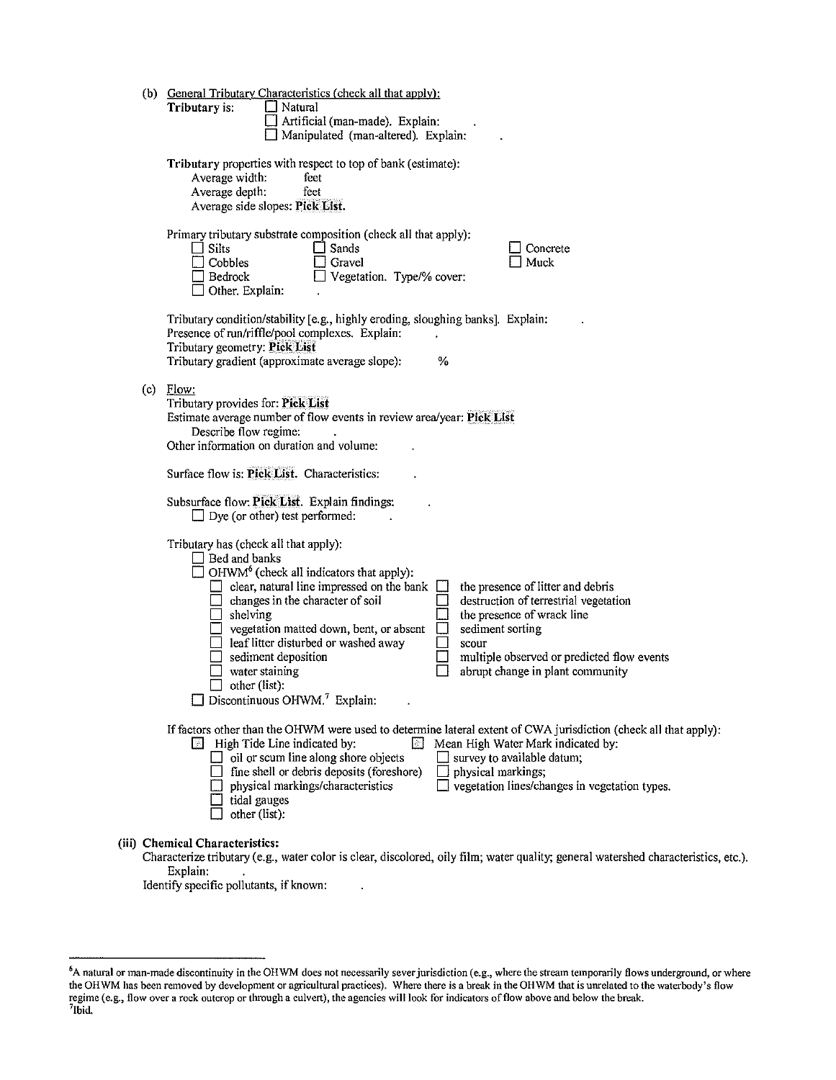|     | (b) General Tributary Characteristics (check all that apply):<br>Tributary is:<br>$\Box$ Natural<br>Artificial (man-made). Explain:<br>Manipulated (man-altered). Explain:                                                                                                                                                                                                                                                                                                                                                                                                                                                                     |
|-----|------------------------------------------------------------------------------------------------------------------------------------------------------------------------------------------------------------------------------------------------------------------------------------------------------------------------------------------------------------------------------------------------------------------------------------------------------------------------------------------------------------------------------------------------------------------------------------------------------------------------------------------------|
|     | Tributary properties with respect to top of bank (estimate):<br>Average width:<br>feet<br>Average depth:<br>feet<br>Average side slopes: Pick List.                                                                                                                                                                                                                                                                                                                                                                                                                                                                                            |
|     | Primary tributary substrate composition (check all that apply):<br>Silts<br>Sands<br>Concrete<br>Cobbles<br>Gravel<br>Muck<br>Vegetation. Type/% cover:<br>Bedrock<br>Other. Explain:                                                                                                                                                                                                                                                                                                                                                                                                                                                          |
|     | Tributary condition/stability [e.g., highly eroding, sloughing banks]. Explain:<br>Presence of run/riffle/pool complexes. Explain:<br>Tributary geometry: Pick List<br>$\%$<br>Tributary gradient (approximate average slope):                                                                                                                                                                                                                                                                                                                                                                                                                 |
| (c) | Flow:<br>Tributary provides for: Pick List<br>Estimate average number of flow events in review area/year: Pick List<br>Describe flow regime:<br>Other information on duration and volume:                                                                                                                                                                                                                                                                                                                                                                                                                                                      |
|     | Surface flow is: Pick List. Characteristics:                                                                                                                                                                                                                                                                                                                                                                                                                                                                                                                                                                                                   |
|     | Subsurface flow: Pick List. Explain findings:<br>$\Box$ Dye (or other) test performed:                                                                                                                                                                                                                                                                                                                                                                                                                                                                                                                                                         |
|     | Tributary has (check all that apply):<br>$\Box$ Bed and banks<br>OHWM <sup>6</sup> (check all indicators that apply):<br>clear, natural line impressed on the bank<br>the presence of litter and debris<br>destruction of terrestrial vegetation<br>changes in the character of soil<br>shelving<br>the presence of wrack line<br>vegetation matted down, bent, or absent<br>sediment sorting<br>leaf litter disturbed or washed away<br>scour<br>multiple observed or predicted flow events<br>sediment deposition<br>water staining<br>abrupt change in plant community<br>other (list):<br>$\Box$ Discontinuous OHWM. <sup>7</sup> Explain: |
|     | If factors other than the OHWM were used to determine lateral extent of CWA jurisdiction (check all that apply):<br>High Tide Line indicated by:<br>圖<br>Mean High Water Mark indicated by:<br>暨<br>oil or scum line along shore objects<br>survey to available datum;<br>fine shell or debris deposits (foreshore)<br>physical markings;<br>vegetation lines/changes in vegetation types.<br>physical markings/characteristics<br>tidal gauges<br>other (list):                                                                                                                                                                               |
|     | (iii) Chemical Characteristics:                                                                                                                                                                                                                                                                                                                                                                                                                                                                                                                                                                                                                |

Characterize tributary (e.g., water color is clear, discolored, oily film; water quality; general watershed characteristics, etc.). Explain:

Identify specific pollutants, if known:

 $\ddot{\phantom{a}}$ 

<sup>&</sup>lt;sup>6</sup>A natural or man-made discontinuity in the OHWM does not necessarily sever jurisdiction (e.g., where the stream temporarily flows underground, or where the OHWM has been removed by development or agricultural practices). Where there is a break in the OHWM that is unrelated to the waterbody's flow regime (e.g., flow over a rock outcrop or through a culvert), the agencies will look for indicators of flow above and below the break.<br><sup>7</sup>lbid.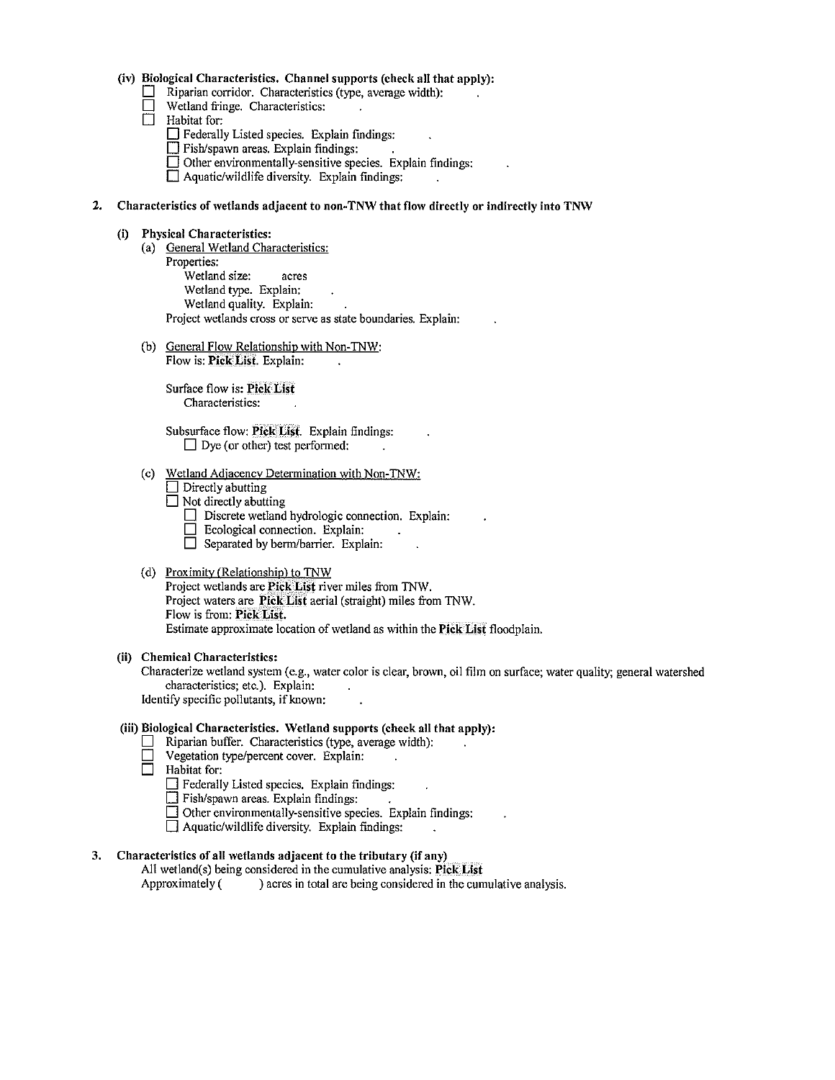#### (iv) Biological Characteristics. Channel supports (check all that apply):

- $\Box$  Riparian corridor. Characteristics (type, average width):
- Wetland fringe. Characteristics:
- $\Box$  Habitat for:
	- D Federally Listed species. Explain findings:
	- $\Box$  Fish/spawn areas. Explain findings:
	- $\Box$  Other environmentally-sensitive species. Explain findings:
	- $\Box$  Aquatic/wildlife diversity. Explain findings:

#### 2. Characteristics of wetlands adjacent to non-TNW that flow directly or indirectly into TNW

#### (i) Physical Characteristics:

- (a) General Wetland Characteristics: Properties: Wetland size: acres Wetland type. Explain: Wetland quality. Explain: Project wetlands cross or serve as state boundaries. Explain:
- (b) General Flow Relationship with Non-TNW: Flow is: PickList. Explain:

Surface flow is: Pick List Characteristics:

Subsurface flow: Pick List. Explain findings:  $\Box$  Dye (or other) test performed:

## (c) Wetland Adjacency Determination with Non-TNW:

- $\square$  Directly abutting
- $\Box$  Not directly abutting
	- $\Box$  Discrete wetland hydrologic connection. Explain:
	- $\Box$  Ecological connection. Explain:
	- $\Box$  Separated by berm/barrier. Explain:

#### (d) Proximity (Relationship) to TNW

Project wetlands are Pick List river miles from TNW. Project waters are Pick List aerial (straight) miles from TNW. Flow is from: Pick List. Estimate approximate location of wetland as within the Pick List floodplain.

#### (ii) Chemical Characteristics:

Characterize wetland system (e.g., water color is clear, brown, oil film on surface; water quality; general watershed characteristics; etc.). Explain:

Identify specific pollutants, if known:

#### (iii) Biological Characteristics. Wetland supports (check all that apply):

- Riparian buffer. Characteristics (type, average width):<br>
Vegetation type/percent cover. Explain:
- $\Box$  Vegetation type/percent cover. Explain:
- $\Box$  Habitat for:
	- D Federally Listed species. Explain fmdings:
	- $\Box$  Fish/spawn areas. Explain findings:
	- $\Box$  Other environmentally-sensitive species. Explain findings:
	- $\Box$  Aquatic/wildlife diversity. Explain findings:

## 3. Characteristics of all wetlands adjacent to the tributary (if any)

All wetland(s) being considered in the cumulative analysis: Pick List

Approximately () acres in total are being considered in the cumulative analysis.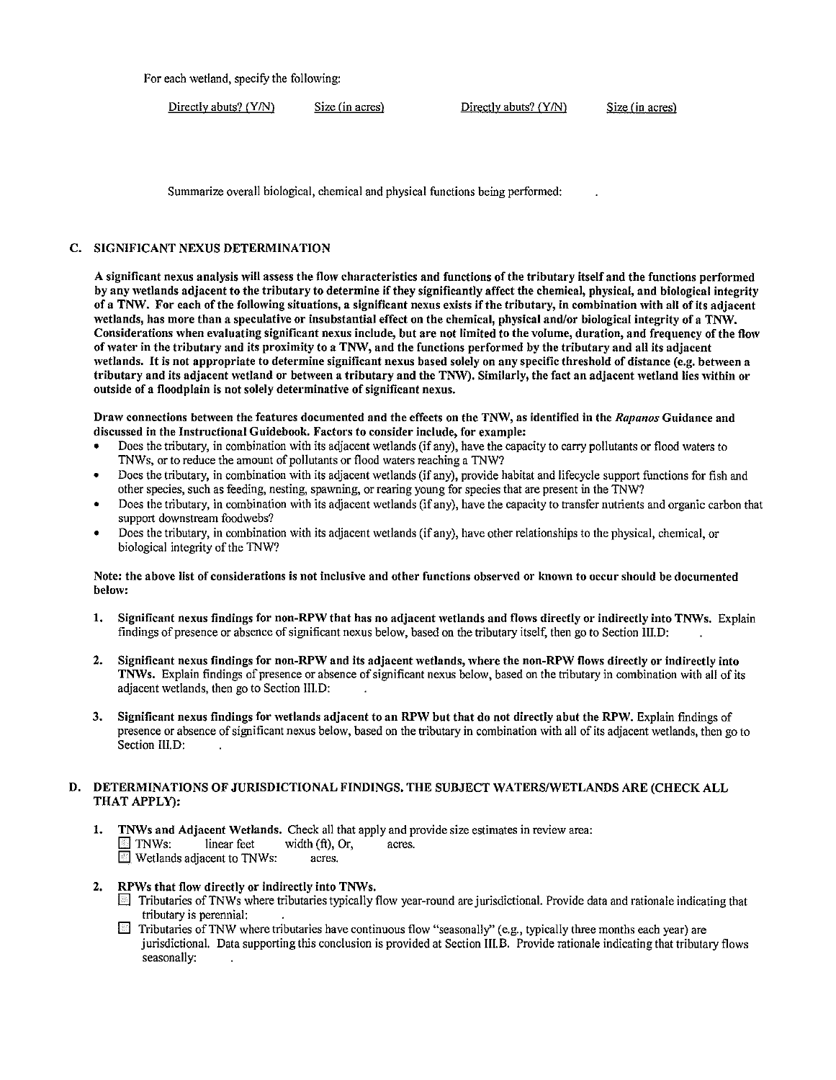For each wetland, specify the following:

Directly abuts? (Y/N) Size (in acres) Directly abuts? (Y/N) Size (in acres)

Summarize overall biological, chemical and physical functions being perfonned:

## C. SIGNIFICANT NEXUS DETERMINATION

A significant nexus analysis will assess the flow characteristics and functions of the tributary itself and the functions performed by any wetlands adjacent to the tributary to determine if they significantly affect the chemical, physical, and biological integrity of a TNW. For each of the following situations, a significant nexus exists if the tributary, in combination with all of its adjacent wetlands, has more than a speculative or insubstantial effect on the chemical, physical and/or biological integrity of a TNW. Considerations when evaluating significant nexus include, but are not limited to the volume, duration, and frequency of the flow of water in the tributary and its proximity to a TNW, and the functions performed by the tributary and all its adjacent wetlands. It is not appropriate to determine significant nexus based solely on any specific threshold of distance (e.g. between a tributary and its adjacent wetland or between a tributary and the TNW). Similarly, the fact an adjacent wetland lies within or outside of a floodplain is not solely determinative of significant nexus.

Draw connections between the features documented and the effects on the TNW, as identified in the *Rapanos* Guidance and discussed in the Instructional Guidebook. Factors to consider include, for example:

- Does the tributary, in combination with its adjacent wetlands (if any), have the capacity to carry pollutants or flood waters to TNWs, or to reduce the amount of pollutants or flood waters reaching a TNW?
- Does the tributary, in combination with its adjacent wetlands (if any), provide habitat and lifecycle support functions for fish and other species, such as feeding, nesting, spawning, or rearing young for species that are present in the TNW?
- Does the tributary, in combination with its adjacent wetlands (if any), have the capacity to transfer nutrients and organic carbon that support downstream foodwebs?
- Does the tributary, in combination with its adjacent wetlands (if any), have other relationships to the physical, chemical, or biological integrity of the TNW?

#### Note: the above list of considerations is not inclusive and other functions observed or known to occur should be documented below:

- 1. Significant nexus findings for non-RPW that has no adjacent wetlands and flows directly or indirectly into TNWs. Explain findings of presence or absence of significant nexus below, based on the tributary itself, then go to Section III.D:
- 2. Significant nexus findings for non-RPW and its adjacent wetlands, where the non-RPW flows directly or indirectly into TNWs. Explain findings of presence or absence of significant nexus below, based on the tributary in combination with all of its adjacent wetlands, then go to Section III.D:
- 3. Significant nexus findings for wetlands adjacent to an RPW but that do not directly abut the RPW. Explain findings of presence or absence of significant nexus below, based on the tributary in combination with all of its adjacent wetlands, then go to Section III.D:

## D. DETERMINATIONS OF JURISDICTIONAL FINDINGS. THE SUBJECT WATERS/WETLANDS ARE (CHECK ALL THAT APPLY):

1. **TNWs and Adjacent Wetlands.** Check all that apply and provide size estimates in review area:<br> $\Box$  TNWs: linear feet width (ft), Or, acres. width  $(ft)$ , Or, acres. **E** Wetlands adjacent to TNWs: acres.

## 2. RPWs that flow directly or indirectly into TNWs.

- $\Box$  Tributaries of TNWs where tributaries typically flow year-round are jurisdictional. Provide data and rationale indicating that tributary is perennial:
- D Tributaries ofTNW where tributaries have continuous flow "seasonally'' (e.g., typically three months each year) are jurisdictional. Data supporting this conclusion is provided at Section III.B. Provide rationale indicating that tributary flows seasonally: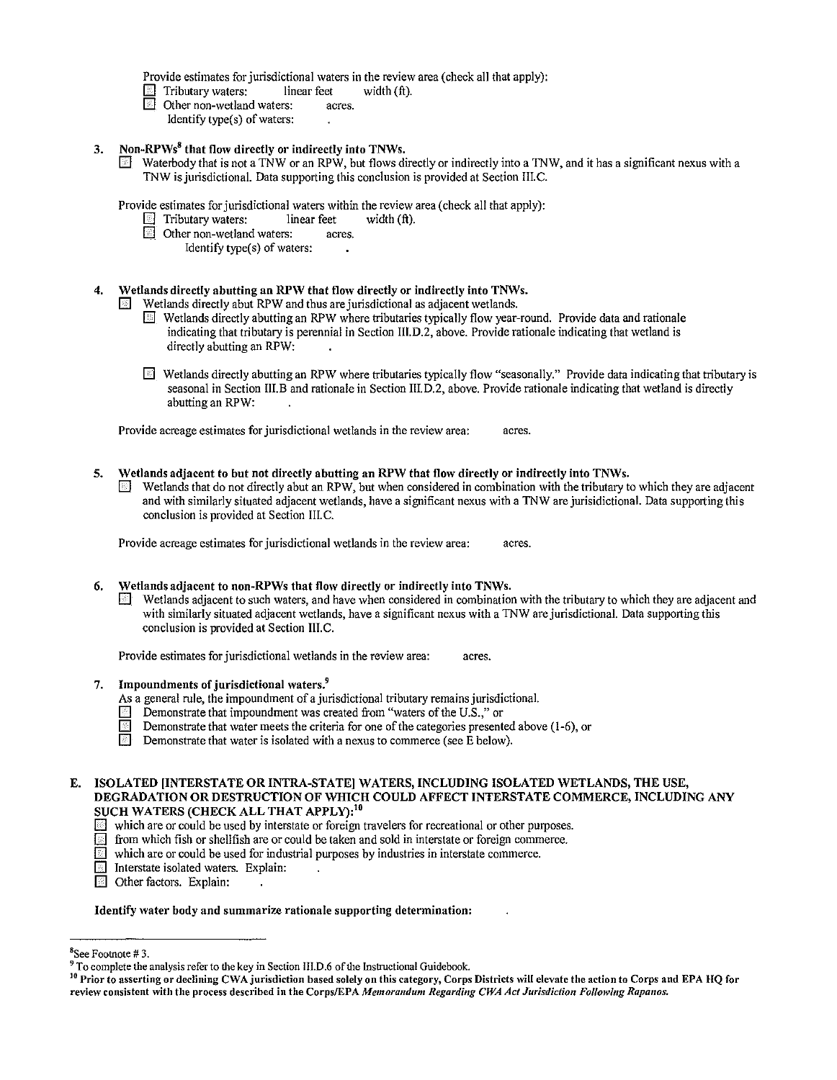Provide estimates for jurisdictional waters in the review area (check all that apply):<br>
Tributary waters: linear feet width (ft).

- Tributary waters: linear feet<br>
Other non-wetland waters: acres.
- **DE** Other non-wetland waters:
	- Identify type(s) of waters:
- 3. Non-RPWs<sup>8</sup> that flow directly or indirectly into TNWs.
	- $\Box$  Waterbody that is not a TNW or an RPW, but flows directly or indirectly into a TNW, and it has a significant nexus with a TNW is jurisdictional. Data supporting this conclusion is provided at Section III. C.

Provide estimates for jurisdictional waters within the review area (check all that apply):<br>  $\Box$  Tributary waters: linear feet width (ft).

- $\Box$  Tributary waters:
- D Other non-wetland waters: acres.
	- Identify type(s) of waters:
- 4. Wetlands directly abutting an RPW that flow directly or indirectly into TNWs.
	- Wetlands directly abut RPW and thus are jurisdictional as adjacent wetlands.
		- Wetlands directly abutting an RPW where tributaries typically flow year-round. Provide data and rationale indicating that tributary is perennial in Section III.D.2, above. Provide rationale indicating that wetland is directly abutting an RPW:
		- 0 Wetlands directly abutting an RPW where tributaries typically flow "seasonally." Provide data indicating that tributary is seasonal in Section III.B and rationale in Section III.D.2, above. Provide rationale indicating that wetland is directly abutting an RPW:

Provide acreage estimates for jurisdictional wetlands in the review area: acres.

- 5. Wetlands adjacent to but not directly abutting an RPW that flow directly or indirectly into TNWs.
	- Wetlands that do not directly abut an RPW, but when considered in combination with the tributary to which they are adjacent and with similarly situated adjacent wetlands, have a significant nexus with a TNW are jurisidictional. Data supporting this conclusion is provided at Section Ill.C.

Provide acreage estimates for jurisdictional wetlands in the review area: acres.

- 6. Wetlands adjacent to non-RPWs that flow directly or indirectly into TNWs.<br> $\Box$  Wetlands adjacent to such waters, and have when considered in combination
	- Wetlands adjacent to such waters, and have when considered in combination with the tributary to which they are adjacent and with similarly situated adjacent wetlands, have a significant nexus with a TNW are jurisdictional. Data supporting this conclusion is provided at Section III.C.

Provide estimates for jurisdictional wetlands in the review area: acres.

- 7. Impoundments of jurisdictional waters.<sup>9</sup>
	- As a general rule, the impoundment of a jurisdictional tributary remains jurisdictional.
	- Demonstrate that impoundment was created from "waters of the U.S.," or
	- $\overline{\text{}}$  Demonstrate that water meets the criteria for one of the categories presented above (1-6), or
	- $\Box$  Demonstrate that water is isolated with a nexus to commerce (see E below).

E. ISOLATED [INTERSTATE OR INTRA-STATE] WATERS, INCLUDING ISOLATED WETLANDS, THE USE, DEGRADATION OR DESTRUCTION OF WHICH COULD AFFECT INTERSTATE COMMERCE, INCLUDING ANY SUCH WATERS (CHECK ALL THAT APPLY):<sup>10</sup>

- which are or could be used by interstate or foreign travelers for recreational or other purposes.<br>In from which fish or shellfish are or could be taken and sold in interstate or foreign commerce.
- $\Box$  from which fish or shellfish are or could be taken and sold in interstate or foreign commerce.<br> $\Box$  which are or could be used for industrial purposes by industries in interstate commerce.
	- which are or could be used for industrial purposes by industries in interstate commerce.
- **D** Interstate isolated waters. Explain:
- $\Box$  Other factors. Explain:

Identify water body and summarize rationale supporting determination:

<sup>8</sup> See Footnote# 3.

 $9^9$  To complete the analysis refer to the key in Section III.D.6 of the Instructional Guidebook.

 $^{10}$  Prior to asserting or declining CWA jurisdiction based solely on this category, Corps Districts will elevate the action to Corps and EPA HQ for review consistent with the process described in the Corps/EPA Memorandum Regarding CWA Act Jurisdiction Following Rapanos.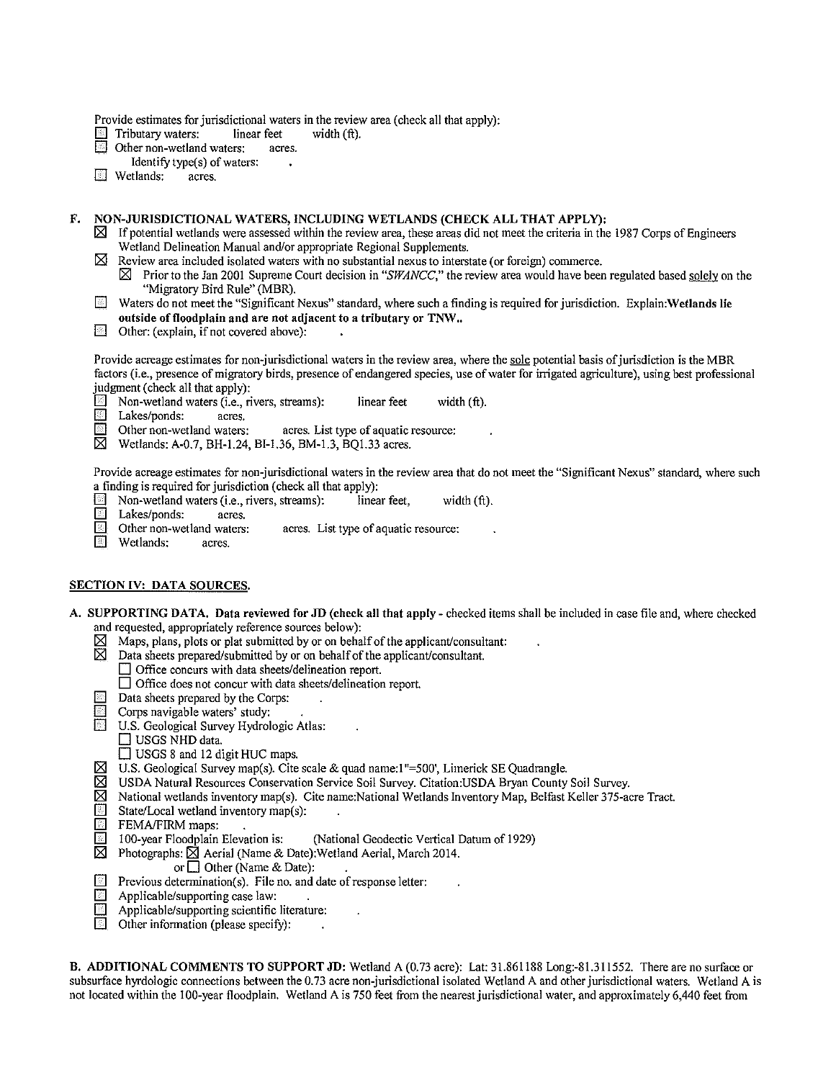**Provide estimates for jurisdictional waters in the review area (check all that apply):**<br> **Provide estimates Provide that integral Provide that is used to review area (check all that apply):** 

- $\Box$  Tributary waters: linear feet  $\Box$  Other non-wetland waters: acres.
- $\Box$  Other non-wetland waters:
	- Identify type(s) of waters:<br>tlands: acres.
- $\Box$  Wetlands.

## F. NON-JURISDICTIONAL WATERS, INCLUDING WETLANDS (CHECK ALL THAT APPLY):

- **I2J If potential wetlands were assessed within the review area, these areas did not meet the criteria in the 1987 Corps of Engineers Wetland Delineation Manual and/or appropriate Regional Supplements.**
- **I2J Review area included isolated waters with no substantial nexus to interstate (or foreign) commerce.** 
	- **[8J Prior to the Jan 2001 Supreme Court decision in** *"SWANCC,"* **the review area would have been regulated based solely on the**  "Migratory Bird Rule" (MBR).
- **D** Waters do not meet the "Significant Nexus" standard, where such a finding is required for jurisdiction. Explain:Wetlands lie **outside of floodplain and are not adjacent to a tributary or TNW..**
- $\Box$  Other: (explain, if not covered above):

Provide acreage estimates for non-jurisdictional waters in the review area, where the sole potential basis of jurisdiction is the MBR **factors (i.e., presence of migratory birds, presence of endangered species, use of water for inigated agriculture), using best professional**  judgment (check all that apply):<br>
Non-wetland waters (i.e., r

- **D Non-wetland waters (i.e., rivers, streams): linear feet width (ft).<br>
<b>D Lakes/ponds:** acres.
- Lakes/ponds: acres.<br>
Other non-wetland waters:
- **D** Other non-wetland waters: acres. List type of aquatic resource:  $\overline{X}$  Wetlands: A-0.7 BH-1.24 BL-1.36. BM-1.3 BO1.33 acres
- Wetlands: A-0.7, BH-1.24, BI-1.36, BM-1.3, BQ1.33 acres.

**Provide acreage estimates for non-jurisdictional waters in the review area that do not meet the "Significant Nexus" standard, where such**  a finding is required for jurisdiction (check all that apply):<br>
Non-wetland waters (i.e., rivers, streams): linear feet,

- **D Non-wetland waters (i.e., rivers, streams): linear feet, width (ft).<br>
Lakes/ponds: acres.**
- 
- $\Box$  Lakes/ponds: acres.<br> $\Box$  Other non-wetland waters: **D P Other non-weta-math waters:** acres. List type of aquatic resource:  $\arccos$ .
- $\Box$  Wetlands:

## SECTION IV: DATA SOURCES.

- A. SUPPORTING DATA. Data reviewed for JD (check all that apply- checked items shall be included in case file and, where checked **and requested, appropriately reference sources below):** 
	- $\boxtimes$  Maps, plans, plots or plat submitted by or on behalf of the applicant/consultant:
	- $\boxtimes$  Data sheets prepared/submitted by or on behalf of the applicant/consultant.
		- **D Office concurs with data sheets/delineation report.** 
			- **D Office does not concur with data sheets/delineation report.**
	- $\Box$  Data sheets prepared by the Corps:<br> $\Box$  Corps pavigable waters' study:
	- **D** Corps navigable waters' study:
		- U.S. Geological Survey Hydrologic Atlas:
		- $\Box$  USGS NHD data.
		- $\Box$  USGS 8 and 12 digit HUC maps.
	- $\boxtimes$  U.S. Geological Survey map(s). Cite scale & quad name: I "=500', Limerick SE Quadrangle.<br> $\boxtimes$  USDA Natural Resources Conservation Service Soil Survey Citation: USDA Bryan County
	- **12] USDA Natural Resources Conservation Service Soil Survey. Citation:USDA Bryan County Soil Survey.**
	- **12] National wetlands inventory map(s). Cite name:National Wetlands Inventory Map, Belfast Keller 375-acre Tract.**
	- State/Local wetland inventory map(s):<br>
	FEMA/FIRM maps:
	-
	- $\Box$  FEMA/FIRM maps:<br> $\Box$  100-vear Floodplain Elevation is: (National Geodectic Vertical Datum of 1929)
	- $\boxtimes$  Photographs:  $\boxtimes$  Aerial (Name & Date):Wetland Aerial, March 2014.
		- or  $\Box$  Other (Name & Date):
	- **D** Previous determination(s). File no. and date of response letter:
	- $\Box$  Applicable/supporting case law:<br> $\Box$  Applicable/supporting scientific
	- Applicable/supporting scientific literature:<br>  $\Box$  Other information (please specify):
	- $\Box$  Other information (please specify):

B. ADDITIONAL COMMENTS TO SUPPORT JD: Wetland A (0.73 acre): Lat: 31.861188 Long:-8!.311552. There are no surface or **subsurface hyrdologic connections between the 0.73 acre non-jurisdictional isolated Wetland A and other jurisdictional waters. Wetland A is not located within the 100-year floodplain. Wetland A is 750 feet from the nearest jurisdictional water, and approximately 6,440 feet from**